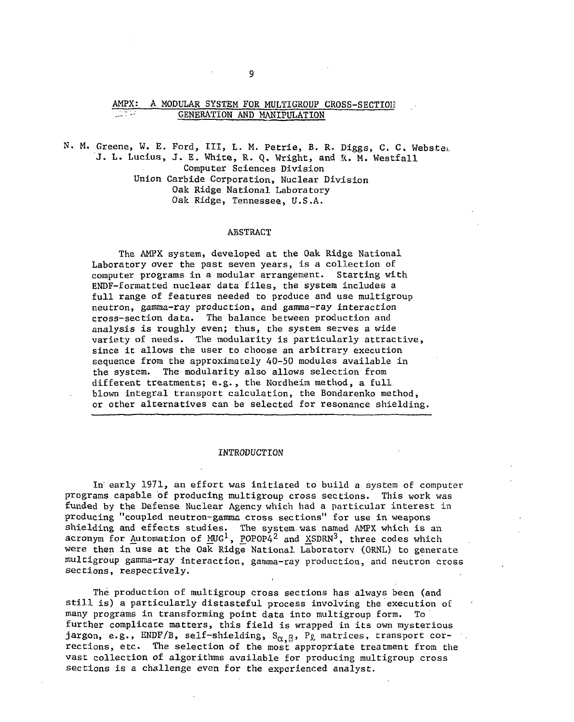# AMPX: A MODULAR SYSTEM FOR MULTIGROUP CROSS-SECTION **GENERATION AND MANIPULATION**

N. M. Greene, W. E. Ford, III, L. M. Petrie, B. R. Diggs, C. C. Webste<sub>b</sub> **J. L. Lucius, J. E. White, R. Q. Wright, and R. M. Westfall Computer Sciences Division Union Carbide Corporation, Nuclear Division Oak Ridge National Laboratory Oak Ridge, Tennessee, U.S.A.** 

#### **ABSTRACT**

**The AMPX system, developed at the Oak Ridge National Laboratory over the past seven years, is a collection of computer programs in a modular arrangement. Starting with ENDF-formatted nuclear data files, the system includes a full range of features needed to produce and use multigroup neutron, gamma-ray production, and gamma-ray interaction cross-section data. The balance between production and analysis is roughly even; thus, the system serves a wide variety of needs. The modularity is particularly attractive, since it allows the user to choose an arbitrary execution sequence from the approximately 40-50 modules available in the system. The modularity also allows selection from different treatments; e.g., the Nordheim method, a full blown integral transport calculation, the Bondarenko method, or other alternatives can be selected for resonance shielding.** 

#### **INTRODUCTION**

**In' early 1971, an effort was initiated to build a system of computer programs capable of producing multigroup cross sections. This work was funded by the Defense Nuclear Agency which had a particular interest in producing "coupled neutron-gamma cross sections" for use in weapons shielding and effects studies. The system was named AMPX which is an acronym for Automation of MUG<sup>1</sup>, POPOP4<sup>2</sup> and XSDRN<sup>3</sup>, three codes which were then in use at the Oak Ridge National Laboratory (ORNL) to generate multigroup gamma-ray interaction, gamma-ray production, and neutron cross sections, respectively.** 

**The production of multigroup cross sections has always been (and still is) a particularly distasteful process involving the execution of many programs in transforming point data into multigroup form. To further complicate matters, this field is wrapped in its own mysterious**  jargon, e.g., ENDF/B, self-shielding, S<sub> $\alpha$ ,  $\beta$ , P<sub>&</sub> matrices, transport cor-</sub> **rections, etc. The selection of the most appropriate treatment from the vast collection of algorithms available for producing multigroup cross sections is a challenge even for the experienced analyst.**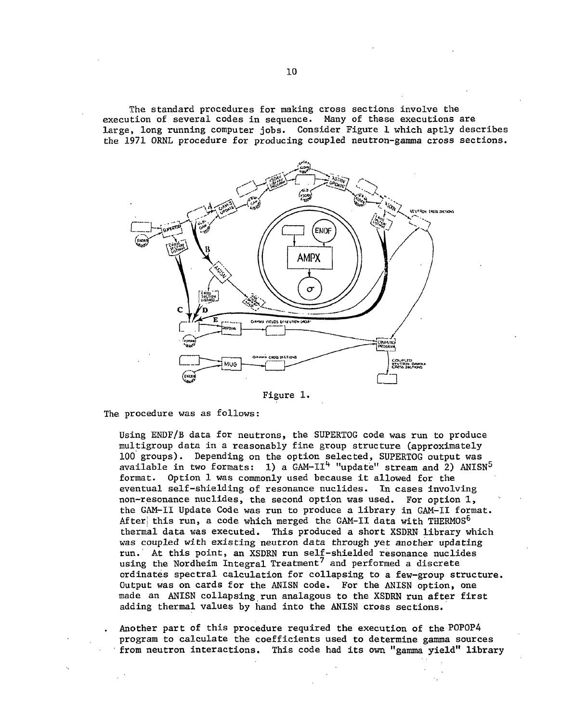**The standard procedures for making cross sections involve the execution of several codes in sequence. Many of these executions are large, long running computer jobs. Consider Figure 1 which aptly describes the 1971 ORNL procedure for producing coupled neutron-gamma cross sections.** 



Figure 1.

**The procedure was as follows:** 

**Using ENDF/B data for neutrons, the SUPERTOG code was run to produce multigroup data in a reasonably fine group structure (approximately 100 groups). Depending on the option selected, SUPERTOG output was available in two formats: 1) a GAM-II^ "update" stream and 2) ANISN<sup>5</sup> format. Option 1 was commonly used because it allowed for the eventual self-shielding of resonance nuclides. In cases involving non-resonance nuclides, the second option was used. For option 1, the GAM-II Update Code was run to produce a library in GAM-II format. After! this run, a code which merged the GAM-II data with THERMOS<sup>6</sup> thermal data was executed. This produced a short XSDRN library which was coupled with existing neutron data through yet another updating run. At this point, an XSDRN run self-shielded resonance nuclides using the Nordheim Integral Treatment<sup>7</sup> and performed a discrete ordinates spectral calculation for collapsing to a few-group structure. Output was on cards for the ANISN code. For the ANISN option, one made an ANISN collapsing run analagous to the XSDRN run after first adding thermal values by hand into the ANISN cross sections.** 

**Another part of this procedure required the execution of the P0P0P4 program to calculate the coefficients used to determine gamma sources from neutron interactions. This code had its own "gamma yield" library**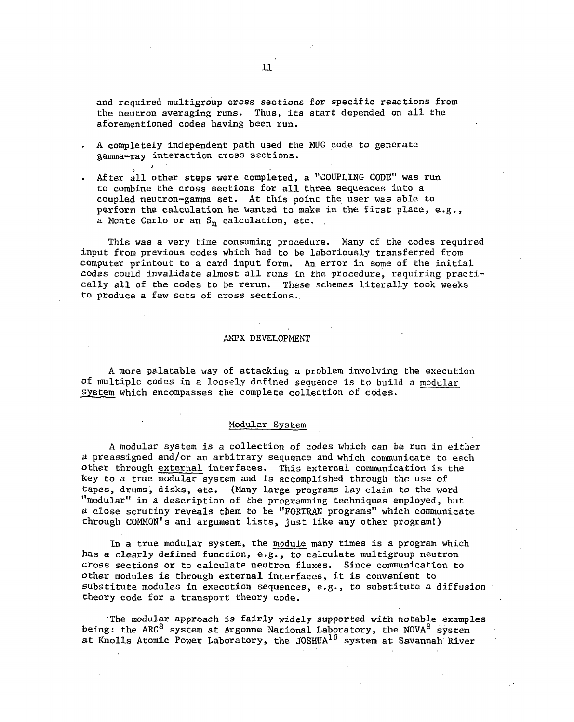**and required multigroup cross sections for specific reactions from the neutron averaging runs. Thus, its start depended on all the aforementioned codes having been run.** 

- **A completely independent path used the MUG code to generate gamma-ray interaction cross sections.**
- **. After all other steps were completed, a "COUPLING CODE" was run to combine the cross sections for all three sequences into a coupled neutron-gamma set. At this point the user was able to perform the calculation he wanted to make in the first place, e.g., a Monte Carlo or an Sn calculation, etc.**

**This was a very time consuming procedure. Many of the codes required input from previous codes which had to be laboriously transferred from computer printout to a card input form. An error in some of the initial codes could invalidate almost all runs in the procedure, requiring practically all of the codes to be rerun. These schemes literally took weeks to produce a few sets of cross sections..** 

### **AMPX DEVELOPMENT**

**A more palatable way of attacking a problem involving the execution of multiple codes in a loosely defined sequence is to build a modular system which encompasses the complete collection of codes.** 

# **Modular System**

**A modular system is a collection of codes which can be run in either a preassigned and/or an arbitrary sequence and which communicate to each other through external interfaces. This external communication is the**  *key to a* **true modular system and is accomplished through the use of tapes, drums, disks, etc. (Many large programs lay claim to the word "modular" in a description of the programming techniques employed, but a close scrutiny reveals them to be "FORTRAN programs" which communicate through COMMON'S and argument lists, just like any other program!)** 

**In a true modular system, the module many times is a program which has a clearly defined function, e.g., to calculate multigroup neutron cross sections or to calculate neutron fluxes. Since communication to other modules is through external interfaces, it is convenient to substitute modules in execution sequences, e.g., to substitute a diffusion theory code for a transport theory code.** 

**The modular approach is fairly widely supported with notable examples being: the ARC<sup>8</sup> system at Argonne National Laboratory, the NOVA<sup>9</sup> system at Knolls Atomic Power Laboratory, the JOSHUA<sup>10</sup> system at Savannah River**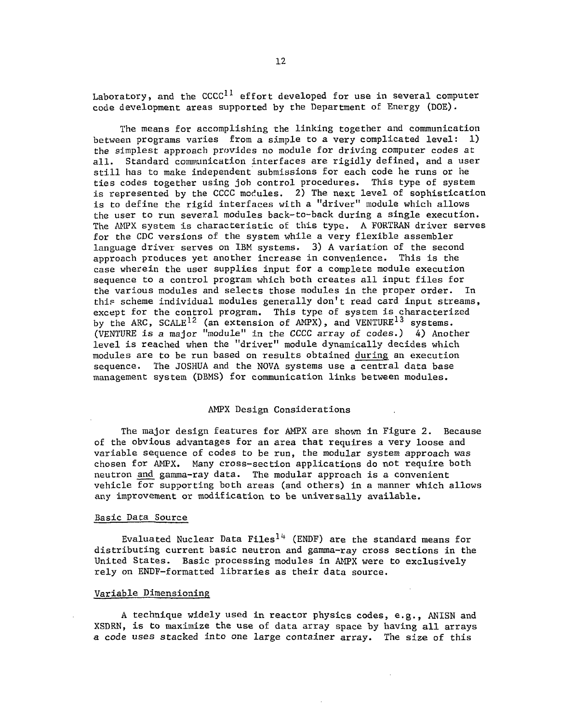**Laboratory, and the CCCC<sup>11</sup> effort developed for use in several computer code development areas supported by the Department of Energy (DOE).** 

**The means for accomplishing the linking together and communication between programs varies from a simple to a very complicated level: 1) the simplest approach provides no module for driving computer codes at all. Standard communication interfaces are rigidly defined, and a user still has to make independent submissions for each code he runs or he ties codes together using job control procedures. This type of system is represented by the CCCC modules. 2) The next level of sophistication is to define the rigid interfaces with a "driver" module which allows the user to run several modules back-to-back during a single execution. The AMPX system is characteristic of this type. A FORTRAN driver serves for the CDC versions of the system while a very flexible assembler language driver serves on IBM systems. 3) A variation of the second approach produces yet another increase in convenience. This is the case wherein the user supplies input for a complete module execution sequence to a control program which both creates all input files for the various modules and selects those modules in the proper order. In this scheme individual modules generally don't read card input streams, except for the control program. This type of system is characterized by the ARC, SCALE<sup>12</sup> (an extension of AMPX), and VENTURE<sup>13</sup> systems. (VENTURE is a major "module" in the CCCC array of codes.) 4) Another level is reached when the "driver" module dynamically decides which modules are to be run based on results obtained during an execution sequence. The JOSHUA and the NOVA systems use a central data base management system (DBMS) for communication links between modules.** 

#### **AMPX Design Considerations**

**The major design features for AMPX are shown in Figure 2. Because of the obvious advantages for an area that requires a very loose and variable sequence of codes to be run, the modular system approach was chosen for AMPX. Many cross-section applications do not require both neutron and gamma-ray data. The modular approach is a convenient vehicle for supporting both areas (and others) in a manner which allows any improvement or modification to be universally available.** 

## **Basic Data Source**

**Evaluated Nuclear Data Files<sup>14</sup> (ENDF) are the standard means for distributing current basic neutron and gamma-ray cross sections in the United States. Basic processing modules in AMPX were to exclusively rely on ENDF-formatted libraries as their data source.** 

## **Variable Dimensioning**

**A technique widely used in reactor physics codes, e.g., ANISN and XSDRN, is to maximize the use of data array space by having all arrays a code uses stacked into one large container array. The size of this**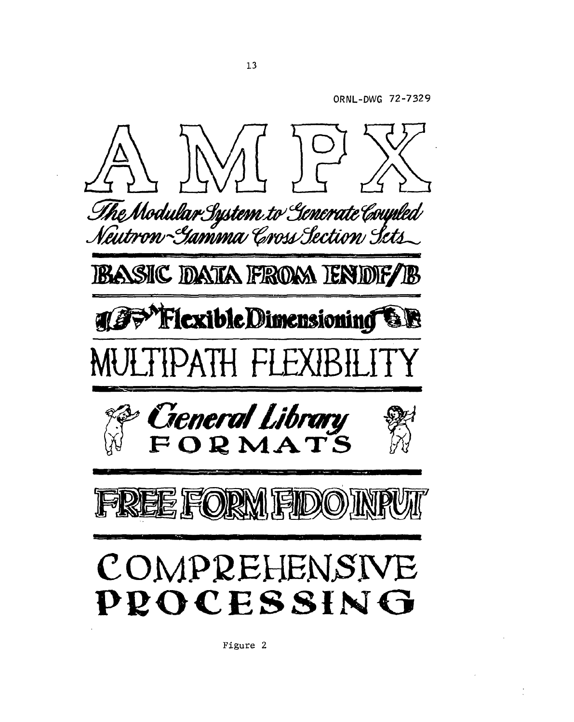**ORNL-DWG 72-732 9** 



**Figure 2**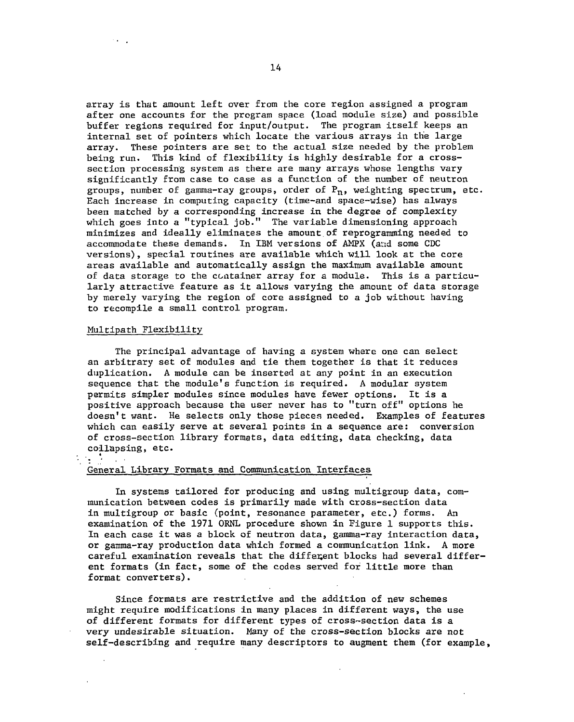**array is that amount left over from the core region assigned a program after one accounts for the program space (load module size) and possible buffer regions required for input/output. The program itself keeps an internal set of pointers which locate the various arrays in the large array. These pointers are set to the actual size needed by the problem being run. This kind of flexibility is highly desirable for a crosssection processing system as there are many arrays whose lengths vary significantly from case to case as a function of the number of neutron groups, number of gamma-ray groups, order of P<sup>n</sup> , weighting spectrum, etc. Each increase in computing capacity (time-and space-wise) has always been matched by a corresponding increase in the degree of complexity which goes into a "typical job." The variable dimensioning approach minimizes and ideally eliminates the amount.of reprogramming needed to accommodate these demands. In IBM versions of AMPX (ar:d some CDC versions), special routines are available which will look at the core areas available and automatically assign the maximum available amount of data storage to the container array for a module. This is a particularly attractive feature as it allows varying the amount of data storage by merely varying the region of core assigned to a job without having to recompile a small control program.** 

## **Multipath Flexibility**

 $\mathcal{L}$ 

**The principal advantage of having a system where one can select an arbitrary set of modules and tie them together is that it reduces duplication. A module can be inserted at any point in an execution sequence that the module's function is required. A modular system permits simpler modules since modules have fewer options. It is a positive approach because the user never has to "turn off" options he doesn't want. He selects only those pieces needed. Examples of features which can easily serve at several points in a sequence are: conversion of cross-section library formats, data editing, data checking, data collapsing, etc.** 

# **General Library Formats and Communication Interfaces**

**In systems tailored for producing and using multigroup data, communication between codes is primarily made with cross-section data in multigroup or basic (point, resonance parameter, etc.) forms. An examination of the 1971 ORNL procedure shown in Figure 1 supports this. In each case it was a block of neutron data, gamma-ray interaction data, or gamma-ray production data which formed a communication link. A more careful examination reveals that the different blocks had several different formats (in fact, some of the codes served for little more than format converters).** 

**Since formats are restrictive and the addition of new schemes might require modifications in many places in different ways, the use of different formats for different types of cross-section data is a very undesirable situation. Many of the cross-section blocks are not self-describing and require many descriptors to augment them (for example,**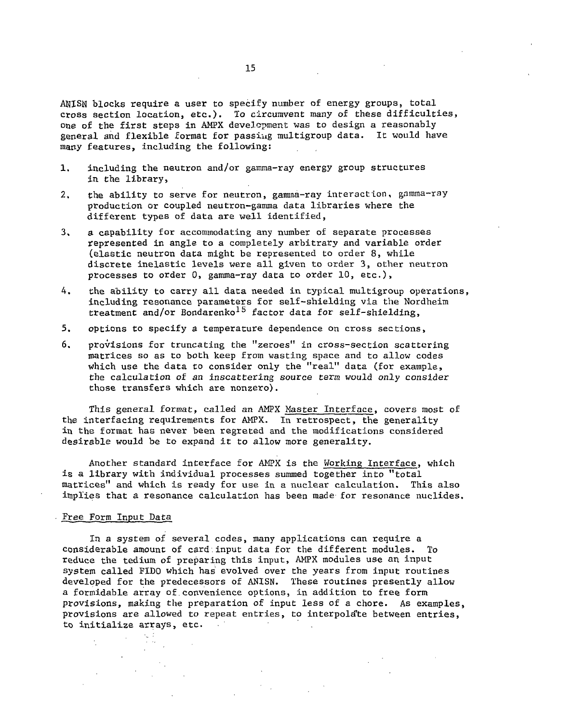**ANISN blocks require a user to specify number of energy groups, total cross section location,** *etc.).* **To circumvent many of these difficulties, one of the first steps in AMPX development was to design a reasonably general and flexible format for passiug multigroup data. It would have many features, including the following:** 

- **1. including the neutron and/or gamma-ray energy group structures in the library,**
- **2. the ability to serve for neutron, gamma-ray interaction, gamma-ray production or coupled neutron-gamma data libraries where the different types of data are well identified,**
- **3. a capability for accommodating any number of separate processes represented in angle to a completely arbitrary and variable order (elastic neutron data might be represented to order 8, while discrete inelastic levels were all given to order 3, other neutron processes to order 0, gamma-ray data to order 10, etc.),**
- **4. the ability to carry all data needed in typical multigroup operations, including resonance parameters for self-shielding via the Nordheim treatment and/or Bondarenko<sup>15</sup> factor data for self-shielding,**
- **5. options to specify a temperature dependence on cross sections,**
- **6. provisions for truncating the "zeroes" in cross-section scattering matrices so as to both keep from wasting space and to allow codes which use the data to consider only the "real" data (for example, the calculation of an inscafctering** *source term* **would only consider those transfers which are nonzero).**

**This general format, called an AMPX Master Interface, covers most of the interfacing requirements for AMPX. In retrospect, the generality in the format has never been regreted and the modifications considered desirable would be to expand it to allow more generality.** 

**Another standard interface for AMPX is the Working Interface, which is a library with individual processes summed together into "total matrices" and which is ready for use in a nuclear calculation. This also implies that a resonance calculation has been made for resonance nuclides.** 

## **Free Form Input Data**

**In a system of several codes, many applications can require a considerable amount of card;input data for the different modules. To reduce the tedium of preparing this input, AMPX modules use an input system called FIDO which has evolved over the years from input routines developed for the predecessors of ANISN. These routines presently allow a formidable array of.convenience options, in addition to free form provisions, making the preparation of input less of a chore. As examples, provisions are allowed to repeat entries, to interpolate between entries, to initialize arrays, etc.**  $\sim$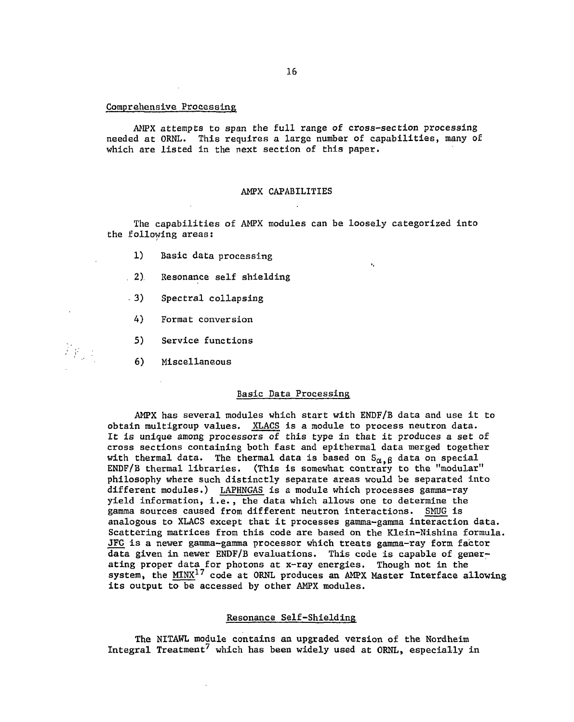## **Comprehensive Processing**

**AMPX attempts to span the full range of cross-section processing needed at ORNL. This requires a large number of capabilities, many of which are listed in the next section of this paper.** 

### **AMPX CAPABILITIES**

**The capabilities of AMPX modules can be loosely categorized into the following areas:** 

 $\epsilon_{\rm c}$ 

- **1) Basic data processing**
- **2) Resonance self shielding**
- **3) Spectral collapsing**
- **A) Format conversion**
- **5) Service functions**
- **6) Miscellaneous**

 $\widetilde{F}(\mathcal{C})$ 

# **Basic Data Processing**

**AMPX has several modules which start with ENDF/B data and use it to obtain multigroup values. XLACS is a module to process neutron data. It is unique among processors of this type in that it produces a set of cross sections containing both fast and epithermal data merged together**  with thermal data. The thermal data is based on  $S_{\alpha, \beta}$  data on special **ENDF/B thermal libraries. (This is somewhat contrary to the "modular" philosophy where such distinctly separate areas would be separated into different modules.) LAPHNGAS is a module which processes gamma-ray yield information, i.e., the data which allows one to determine the gamma sources caused from different neutron interactions. SMUG is analogous to XLACS except that it processes gamma-gamma interaction data. Scattering matrices from this code are based on the Klein-Nishina formula. JFG is a newer gamma-gamma processor which treats gamma-ray form factor data given in newer ENDF/B evaluations. This code is capable of generating proper data for photons at x-ray energies. Though not in the system, the MINX<sup>17</sup> code at ORNL produces an AMPX Master Interface allowing its output to be accessed by other AMPX modules.** 

# **Resonance Self-Shielding**

**The NITAWL module contains an upgraded version of the Nordheim Integral Treatment<sup>7</sup> which has been widely used at ORNL, especially in**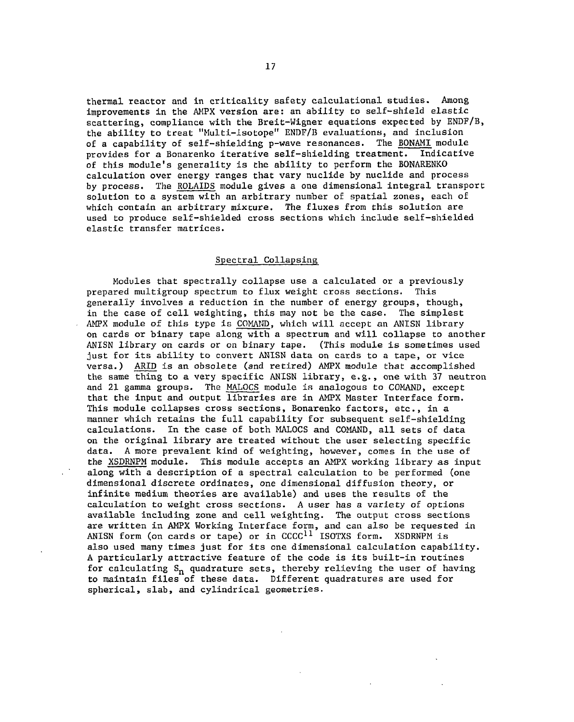**thermal reactor and in criticality safety calculational studies. Among improvements in the AMPX version are: an ability to self-shield elastic scattering, compliance with the Breit-Wigner equations expected by ENDF/B, the ability to treat "Multi-isotope" ENDF/B evaluations, and inclusion of a capability of self-shielding p-wave resonances. The BONAMI module**  provides for a Bonarenko iterative self-shielding treatment. **of this module's generality is the ability to perform the BONARENKO calculation over energy ranges that vary nuclide by nuclide and process by process. The ROLAIDS module gives a one dimensional integral transport solution to a system with an arbitrary number of spatial zones, each of which contain an arbitrary mixcure. The fluxes from this solution are used to produce self-shielded cross sections which include self-shielded elastic transfer matrices.** 

# **Spectral Collapsing**

**Modules that spectrally collapse use a calculated or a previously prepared multigroup spectrum to flux weight cross sections. This generally involves a reduction in the number of energy groups, though, in the case of cell weighting, this may not be the case. The simplest AMPX module of this type is COMAND, which will accept an ANISN library on cards or binary tape along with a spectrum and will collapse to another ANISN library on cards or on binary tape. (This module is sometimes used just for its ability to convert ANISN data on cards to a tape, or vice versa.) ARID is an obsolete (and retired) AMPX module that accomplished the same thing to a very specific ANISN library, e.g., one with 37 neutron and 21 gamma groups. The MALOCS module is analogous to COMAND, except that the input and output libraries are in AMPX Master Interface form. This module collapses cross sections, Bonarenko factors, etc., in a manner which retains the full capability for subsequent self-shielding calculations. In the case of both MALOCS and COMAND, all sets of data on the original library are treated without the user selecting specific data. A more prevalent kind of weighting, however, comes in the use of the XSDRNPM module. This module accepts an AMPX working library as input along with a description of a spectral calculation to be performed (one dimensional discrete ordinates, one dimensional diffusion theory, or infinite medium theories are available) and uses the results of the calculation to weight cross sections. A user has a variety of options available including zone and cell weighting. The output cross sections are written in AMPX Working Interface form, and can also be requested in ANISN form (on cards or tape) or in CCCC<sup>11</sup> ISOTXS form. XSDRNPM is also used many times just for its one dimensional calculation capability. A particularly attractive feature of the code is its built-in routines for calculating Sn quadrature sets, thereby relieving the user of having**  to maintain files of these data. Different quadratures are used for **spherical, slab, and cylindrical geometries.**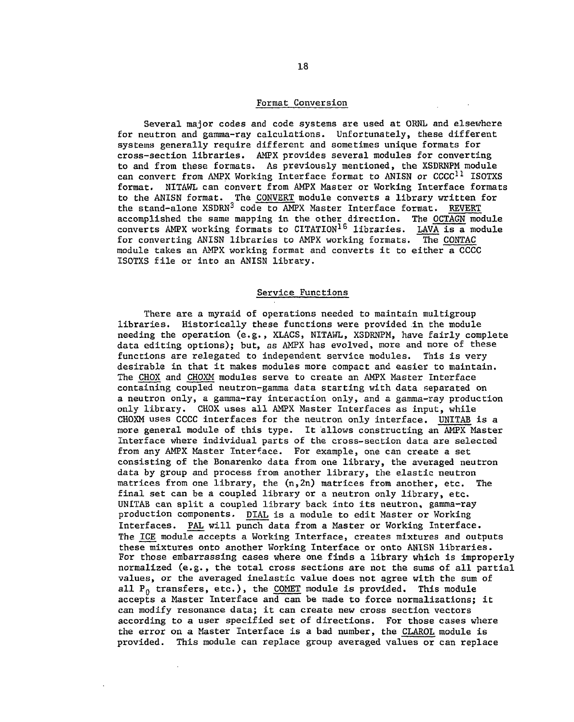## **Format Conversion**

**Several major codes and code systems are used at ORNL and elsewhere for neutron and gamma-ray calculations. Unfortunately, these different systems generally require different and sometimes unique formats for cross-section libraries. AMPX provides several modules for converting to and from these formats. As previously mentioned, the XSDRNPM module can convert from AMPX Working Interface format to ANISN or CCCC<sup>11</sup> ISOTXS format. NITAWL can convert from AMPX Master or Working Interface formats to the ANISN format. The CONVERT module converts a library written for the stand-alone XSDRN<sup>3</sup> code to AMPX Master Interface format. REVERT accomplished the same mapping in the other direction. The OCTAGN module converts AMPX working formats to CITATION<sup>16</sup> libraries. LAVA is a module for converting ANISN libraries to AMPX working formats. The CONTAC module takes an AMPX working format and converts it to either a CCCC ISOTXS file or into an ANISN library.** 

# **Service Functions**

**There are a myraid of operations needed to maintain multigroup libraries. Historically these functions were provided in the module needing the operation (e.g., XLACS, NITAWL, XSDRNPM, have fairly complete data editing options); but, as AMPX has evolved, more and more of these functions are relegated to independent service modules. This is very desirable in that it makes modules more compact and easier to maintain. The CHOX and CHOXM modules serve to create an AMPX Master Interface containing coupled neutron-gamma data starting with data separated on**  a neutron only, a gamma-ray interaction only, and a gamma-ray production **only library. CHOX uses all AMPX Master Interfaces as input, while CHOXM uses CCCC interfaces for the neutron only interface. UNITAB is a more general module of this type. It allows constructing an AMPX Master Interface where individual parts of the cross-section data are selected from any AMPX Master Interface. For example, one can create a set consisting of the Bonarenko data from one library, the averaged neutron data by group and process from another library, the elastic neutron matrices from one library, the (n,2n) matrices from another, etc. The final set can be a coupled library or a neutron only library, etc. UNITAB can split a coupled library back into its neutron, gamma-ray production components. DIAL is a module to edit Master or Working Interfaces. PAL will punch data from a Master or Working Interface. The ICE module accepts a Working Interface, creates mixtures and outputs these mixtures onto another Working Interface or onto ANISN libraries. For those embarrassing cases where one finds a library which is improperly normalized (e.g., the total cross sections are not the sums of all partial values, or the averaged inelastic value does not agree with the sum of all P0 transfers, etc.), the COMET module is provided. This module accepts a Master Interface and can be made to force normalizations; it can modify resonance data; it can create new cross section vectors according to a user specified set of directions. For those cases where the error on a Master Interface is a bad number, the CLAROL module is provided. This module can replace group averaged values or can replace**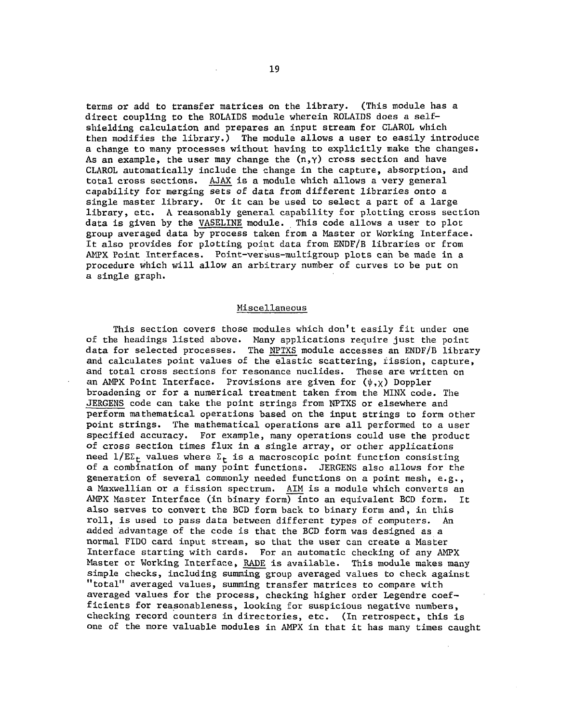**terms or add to transfer matrices on the library. (This module has a direct coupling to the ROLAIDS module wherein ROLAIDS does a selfshielding calculation and prepares an input stream for CLAROL which then modifies the library.) The module allows a user to easily introduce a change to many processes without having to explicitly make the changes. As an example, the user may change the (n,y) cross section and have CLAROL automatically include the change in the capture, absorption, and total cross sections. AJAX is a module which allows a very general capability for merging sets of data from different libraries onto a single master library. Or it can be used to select a part of a large library, etc. A reasonably general capability for plotting cross section data is given by the VASELINE module. This code allows a user to plot group averaged data by process taken from a Master or Working Interface.**  It also provides for plotting point data from ENDF/B libraries or from **AMPX Point Interfaces. Point-versus-multigroup plots can be made in a procedure which will allow an arbitrary number of curves to be put on a single graph.** 

#### **Miscellaneous**

**This section covers those modules which don't easily fit under one of the headings listed above. Many applications require just the point data for selected processes. The NPTXS module accesses an ENDF/B library and calculates point values of the elastic scattering, fission, capture, and total cross sections for resonance nuclides. These are written on**  an AMPX Point Interface. Provisions are given for  $(\psi, \chi)$  Doppler **broadening or for a numerical treatment taken from the MINX code. The JERGENS code can take the point strings from NPTXS or elsewhere and perform mathematical operations based on the input strings to form other point strings. The mathematical operations are all performed to a user specified accuracy. For example, many operations could use the product of cross section times flux in a single array, or other applications**  need  $1/E\Sigma_t$  values where  $\Sigma_t$  is a macroscopic point function consisting **of a combination of many point functions. JERGENS also allows for the generation of several commonly needed functions on a point mesh, e.g., a Maxwellian or a fission spectrum. AIM is a module which converts an AMPX Master Interface (in binary form) into an equivalent BCD form. It also serves to convert the BCD form back to binary form and, in this roll, is used to pass data between different types of computers. An added advantage of the code is that the BCD form was designed as a normal FIDO card input stream, so that the user can create a Master Interface starting with cards. For an automatic checking of any AMPX Master or Working Interface, RAPE is available. This module makes many simple checks, including summing group averaged values to check against "total" averaged values, summing transfer matrices to compare with averaged values for the process, checking higher order Legendre coefficients for reasonableness, looking for suspicious negative numbers, checking record counters in directories, etc. (In retrospect, this is one of the more valuable modules in AMPX in that it has many times caught**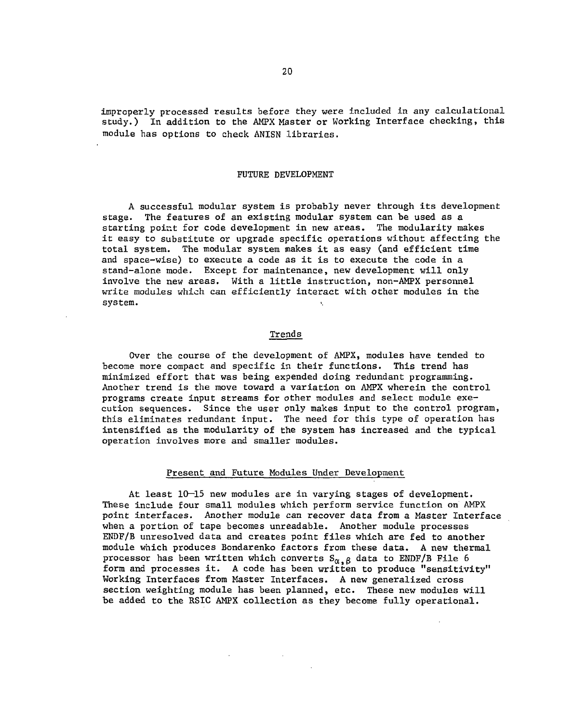**improperly processed results before they were included in any calculational study.) In addition to the AMPX Master or Working Interface checking, this module has options to check ANISN libraries.** 

## **FUTURE DEVELOPMENT**

**A successful modular system is probably never through its development stage. The features of an existing modular system can be used as a starting point for code development in new areas. The modularity makes it easy to substitute or upgrade specific operations without affecting the total system. The modular system makes it as easy (and efficient time and space-wise) to execute a code as it is to execute the code in a stand-alone mode. Except for maintenance, new development will only involve the new areas. With a little instruction, non-AMPX personnel write modules which can efficiently interact with other modules in the system.** 

# **Trends**

**Over the course of the development of AMPX, modules have tended to become more compact and specific in their functions. This trend has minimized effort that was being expended doing redundant programming. Another trend is the move toward a variation on AMPX wherein the control programs create input streams for other modules and select module execution sequences. Since the user only makes input to the control program, this eliminates redundant input. The need for this type of operation has intensified as the modularity of the system has increased and the typical operation involves more and smaller modules.** 

### **Present and Future Modules Under Development**

**At least 10—15 new modules are in varying stages of development. These include four small modules which perform service function on AMPX point interfaces. Another module can recover data from a Master Interface when a portion of tape becomes unreadable. Another module processes ENDF/B unresolved data and creates point files which are fed to another module which produces Bondarenko factors from these data. A new thermal**  processor has been written which converts  $S_{\alpha,\beta}$  data to ENDF/B File 6 **form and processes it. A code has been written to produce "sensitivity" Working Interfaces from Master Interfaces. A new generalized cross section weighting module has been planned, etc. These new modules will be added to the RSIC AMPX collection as they become fully operational.**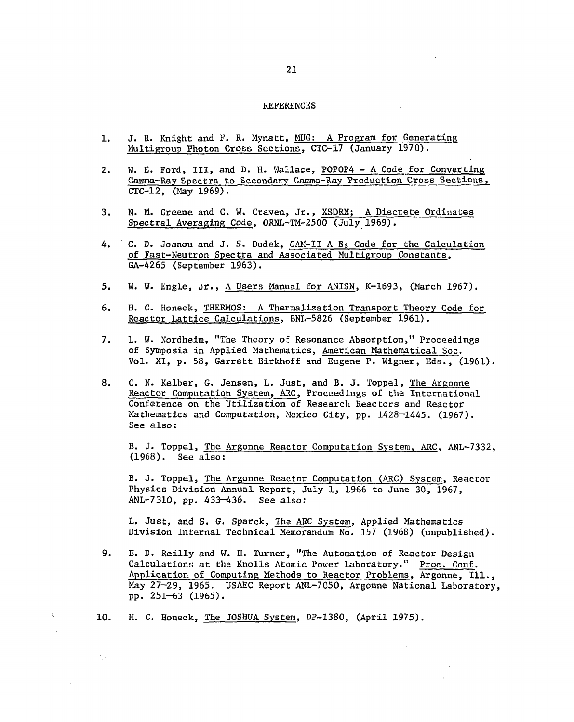#### REFERENCES

- **1. J. R. Knight and F. R. Mynatt, MUG: A Program for Generating Multigroup Photon Cross Sections, CTC-17 (January 1970).**
- **2. W. E. Ford, III, and D. H. Wallace, P0P0P4 A Code for Converting Gamma-Ray Spectra to Secondary Gamma-Ray Production Cross Sections, CTC-12, (May 1969).**
- **3. N. M. Greene and C. W. Craven, Jr., XSDRN; A Discrete Ordinates Spectral Averaging Code, ORNL-TM-2500 (July 1969).**
- **4. G. D. Joanou and J. S. Dudek, GAM-II A B3 Code for the Calculation of Fast-Neutron Spectra and Associated Multigroup Constants, GA-4265 (September 1963).**
- **5. W. W. Engle, Jr., A Users Manual for ANISN, K-1693, (March 1967).**
- **6. H. C. Honeck, THERMOS: A Thermalization Transport Theory Code for Reactor Lattice Calculations, BNL-5826 (September 1961).**
- **7. L. W. Nordheim, "The Theory of Resonance Absorption," Proceedings of Symposia in Applied Mathematics, American Mathematical Soc. Vol. XI, p. 58, Garrett Birkhoff and Eugene P. Wigner, Eds., (1961).**
- **8. C. N. Kelber, G. Jensen, L. Just, and B. J. Toppel, The Argonne Reactor Computation System, ARC, Proceedings of the International Conference on the Utilization of Research Reactors and Reactor Mathematics and Computation, Mexico City, pp. 1428—1445. (1967). See also:**

**B. J. Toppel, The Argonne Reactor Computation System, ARC, ANL-7332, (1968). See also:** 

**B. J. Toppel, The Argonne Reactor Computation (ARC) System, Reactor Physics Division Annual Report, July 1, 1966 to June 30, 1967, ANL-7310, pp. 433-436. See also:** 

**L. Just, and S. G. Sparck, The ARC System, Applied Mathematics Division Internal Technical Memorandum No. 157 (1968) (unpublished).** 

- **9. E. D. Reilly and W. H. Turner, "The Automation of Reactor Design Calculations at the Knolls Atomic Power Laboratory." Proc. Conf. Application of Computing Methods to Reactor Problems, Argonne, 111., May 27-29, 1965. USAEC Report ANL-7050, Argonne National Laboratory, pp. 251-63 (1965).**
- **10. H. C. Honeck, The JOSHUA System, DP-1380, (April 1975).**

Å.

 $\frac{1}{2}$  .